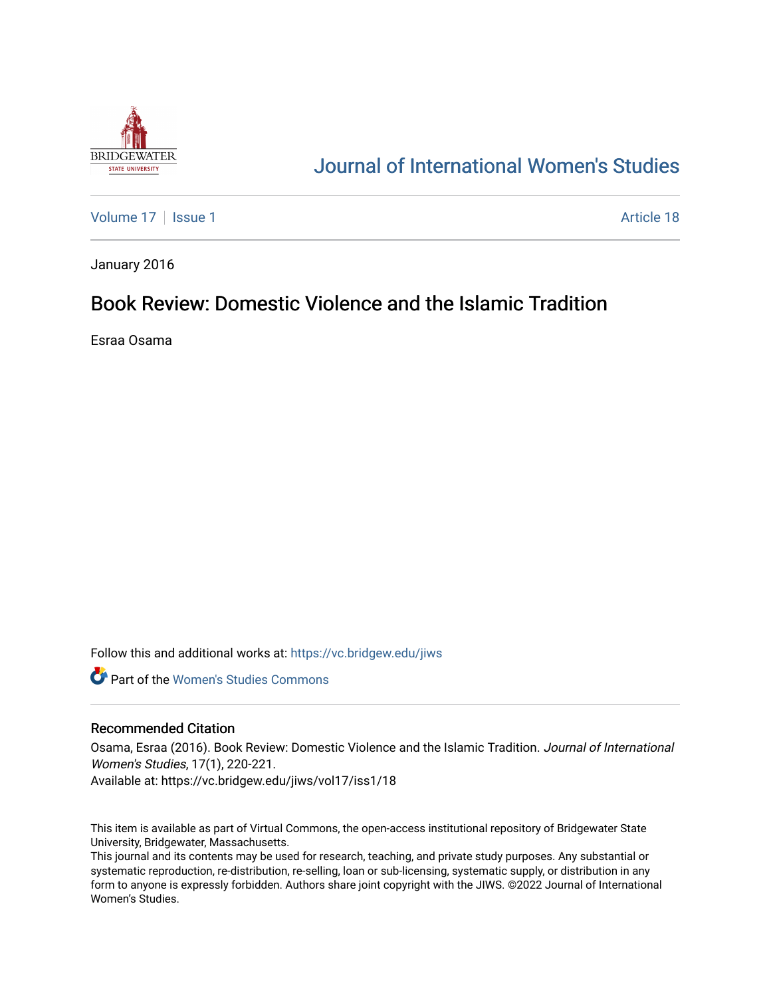

# [Journal of International Women's Studies](https://vc.bridgew.edu/jiws)

[Volume 17](https://vc.bridgew.edu/jiws/vol17) | [Issue 1](https://vc.bridgew.edu/jiws/vol17/iss1) Article 18

January 2016

## Book Review: Domestic Violence and the Islamic Tradition

Esraa Osama

Follow this and additional works at: [https://vc.bridgew.edu/jiws](https://vc.bridgew.edu/jiws?utm_source=vc.bridgew.edu%2Fjiws%2Fvol17%2Fiss1%2F18&utm_medium=PDF&utm_campaign=PDFCoverPages)

**C** Part of the Women's Studies Commons

#### Recommended Citation

Osama, Esraa (2016). Book Review: Domestic Violence and the Islamic Tradition. Journal of International Women's Studies, 17(1), 220-221.

Available at: https://vc.bridgew.edu/jiws/vol17/iss1/18

This item is available as part of Virtual Commons, the open-access institutional repository of Bridgewater State University, Bridgewater, Massachusetts.

This journal and its contents may be used for research, teaching, and private study purposes. Any substantial or systematic reproduction, re-distribution, re-selling, loan or sub-licensing, systematic supply, or distribution in any form to anyone is expressly forbidden. Authors share joint copyright with the JIWS. ©2022 Journal of International Women's Studies.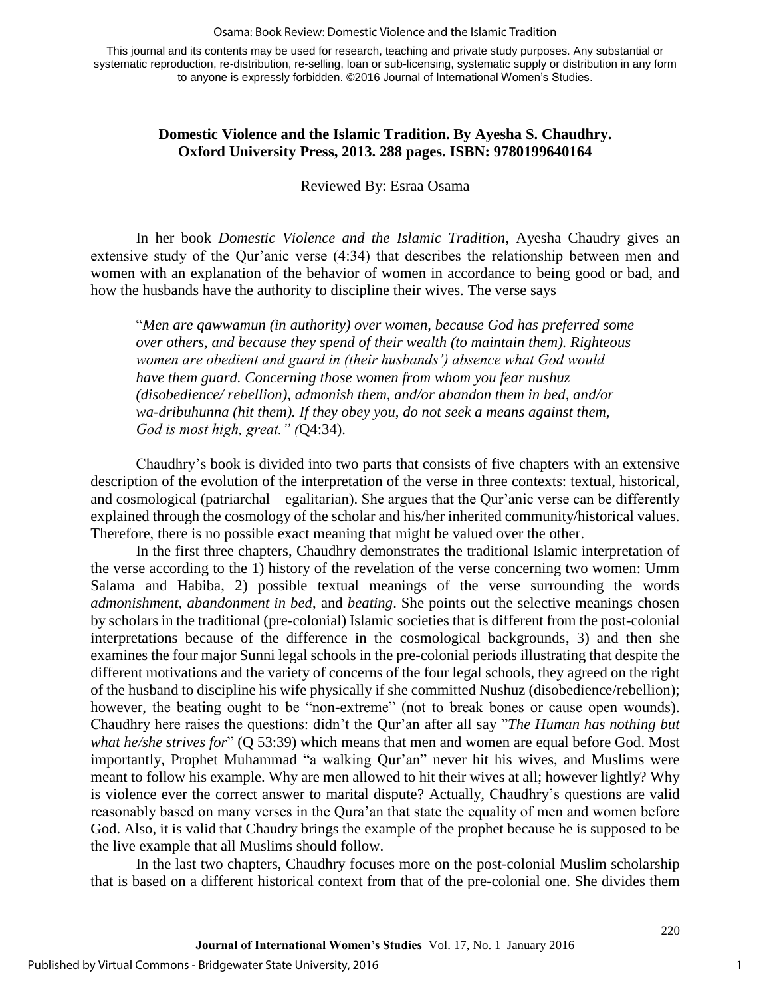#### Osama: Book Review: Domestic Violence and the Islamic Tradition

This journal and its contents may be used for research, teaching and private study purposes. Any substantial or systematic reproduction, re-distribution, re-selling, loan or sub-licensing, systematic supply or distribution in any form to anyone is expressly forbidden. ©2016 Journal of International Women's Studies.

### **Domestic Violence and the Islamic Tradition. By Ayesha S. Chaudhry. Oxford University Press, 2013. 288 pages. ISBN: 9780199640164**

Reviewed By: Esraa Osama

In her book *Domestic Violence and the Islamic Tradition*, Ayesha Chaudry gives an extensive study of the Qur'anic verse (4:34) that describes the relationship between men and women with an explanation of the behavior of women in accordance to being good or bad, and how the husbands have the authority to discipline their wives. The verse says

"*Men are qawwamun (in authority) over women, because God has preferred some over others, and because they spend of their wealth (to maintain them). Righteous women are obedient and guard in (their husbands') absence what God would have them guard. Concerning those women from whom you fear nushuz (disobedience/ rebellion), admonish them, and/or abandon them in bed, and/or wa-dribuhunna (hit them). If they obey you, do not seek a means against them, God is most high, great." (*Q4:34).

Chaudhry's book is divided into two parts that consists of five chapters with an extensive description of the evolution of the interpretation of the verse in three contexts: textual, historical, and cosmological (patriarchal – egalitarian). She argues that the Qur'anic verse can be differently explained through the cosmology of the scholar and his/her inherited community/historical values. Therefore, there is no possible exact meaning that might be valued over the other.

In the first three chapters, Chaudhry demonstrates the traditional Islamic interpretation of the verse according to the 1) history of the revelation of the verse concerning two women: Umm Salama and Habiba, 2) possible textual meanings of the verse surrounding the words *admonishment*, *abandonment in bed*, and *beating*. She points out the selective meanings chosen by scholars in the traditional (pre-colonial) Islamic societies that is different from the post-colonial interpretations because of the difference in the cosmological backgrounds, 3) and then she examines the four major Sunni legal schools in the pre-colonial periods illustrating that despite the different motivations and the variety of concerns of the four legal schools, they agreed on the right of the husband to discipline his wife physically if she committed Nushuz (disobedience/rebellion); however, the beating ought to be "non-extreme" (not to break bones or cause open wounds). Chaudhry here raises the questions: didn't the Qur'an after all say "*The Human has nothing but what he/she strives for*" (Q 53:39) which means that men and women are equal before God. Most importantly, Prophet Muhammad "a walking Qur'an" never hit his wives, and Muslims were meant to follow his example. Why are men allowed to hit their wives at all; however lightly? Why is violence ever the correct answer to marital dispute? Actually, Chaudhry's questions are valid reasonably based on many verses in the Qura'an that state the equality of men and women before God. Also, it is valid that Chaudry brings the example of the prophet because he is supposed to be the live example that all Muslims should follow.

In the last two chapters, Chaudhry focuses more on the post-colonial Muslim scholarship that is based on a different historical context from that of the pre-colonial one. She divides them

1

220